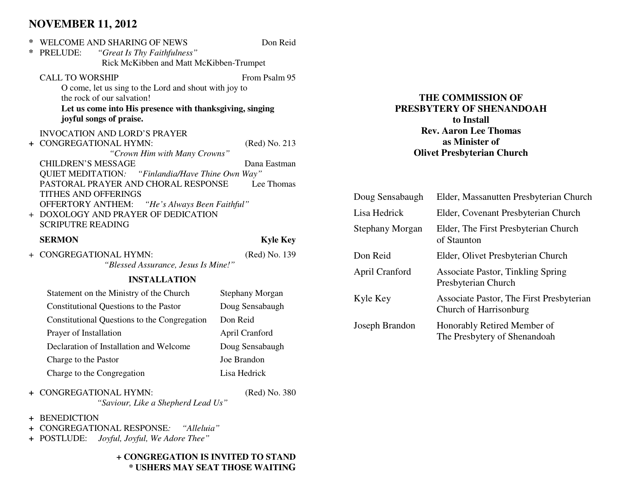# **NOVEMBER 11, 2012**

|   | <b>WELCOME AND SHARING OF NEWS</b>                       | Don Reid        |  |  |
|---|----------------------------------------------------------|-----------------|--|--|
| ∗ | PRELUDE:<br>"Great Is Thy Faithfulness"                  |                 |  |  |
|   | Rick McKibben and Matt McKibben-Trumpet                  |                 |  |  |
|   | <b>CALL TO WORSHIP</b>                                   | From Psalm 95   |  |  |
|   | O come, let us sing to the Lord and shout with joy to    |                 |  |  |
|   | the rock of our salvation!                               |                 |  |  |
|   | Let us come into His presence with thanksgiving, singing |                 |  |  |
|   | joyful songs of praise.                                  |                 |  |  |
|   | <b>INVOCATION AND LORD'S PRAYER</b>                      |                 |  |  |
|   | + CONGREGATIONAL HYMN:                                   | (Red) No. 213   |  |  |
|   | "Crown Him with Many Crowns"                             |                 |  |  |
|   | <b>CHILDREN'S MESSAGE</b>                                | Dana Eastman    |  |  |
|   | <b>QUIET MEDITATION:</b> "Finlandia/Have Thine Own Way"  |                 |  |  |
|   | PASTORAL PRAYER AND CHORAL RESPONSE                      | Lee Thomas      |  |  |
|   | TITHES AND OFFERINGS                                     |                 |  |  |
|   | OFFERTORY ANTHEM: "He's Always Been Faithful"            |                 |  |  |
|   | + DOXOLOGY AND PRAYER OF DEDICATION                      |                 |  |  |
|   | <b>SCRIPUTRE READING</b>                                 |                 |  |  |
|   | SERMON                                                   | <b>Kyle Key</b> |  |  |

+ CONGREGATIONAL HYMN: (Red) No. 139 *"Blessed Assurance, Jesus Is Mine!"* 

#### **INSTALLATION**

| Statement on the Ministry of the Church      | <b>Stephany Morgan</b> |
|----------------------------------------------|------------------------|
| Constitutional Questions to the Pastor       | Doug Sensabaugh        |
| Constitutional Questions to the Congregation | Don Reid               |
| Prayer of Installation                       | April Cranford         |
| Declaration of Installation and Welcome      | Doug Sensabaugh        |
| Charge to the Pastor                         | Joe Brandon            |
| Charge to the Congregation                   | Lisa Hedrick           |
|                                              |                        |

**+** CONGREGATIONAL HYMN: (Red) No. 380

*"Saviour, Like a Shepherd Lead Us"* 

**+** BENEDICTION

- **+** CONGREGATIONAL RESPONSE*: "Alleluia"*
- **+** POSTLUDE: *Joyful, Joyful, We Adore Thee"*

#### **+ CONGREGATION IS INVITED TO STAND \* USHERS MAY SEAT THOSE WAITING**

## **THE COMMISSION OF PRESBYTERY OF SHENANDOAH to Install Rev. Aaron Lee Thomas as Minister of Olivet Presbyterian Church**

| Doug Sensabaugh | Elder, Massanutten Presbyterian Church                             |
|-----------------|--------------------------------------------------------------------|
| Lisa Hedrick    | Elder, Covenant Presbyterian Church                                |
| Stephany Morgan | Elder, The First Presbyterian Church<br>of Staunton                |
| Don Reid        | Elder, Olivet Presbyterian Church                                  |
| April Cranford  | <b>Associate Pastor, Tinkling Spring</b><br>Presbyterian Church    |
| Kyle Key        | Associate Pastor, The First Presbyterian<br>Church of Harrisonburg |
| Joseph Brandon  | Honorably Retired Member of<br>The Presbytery of Shenandoah        |